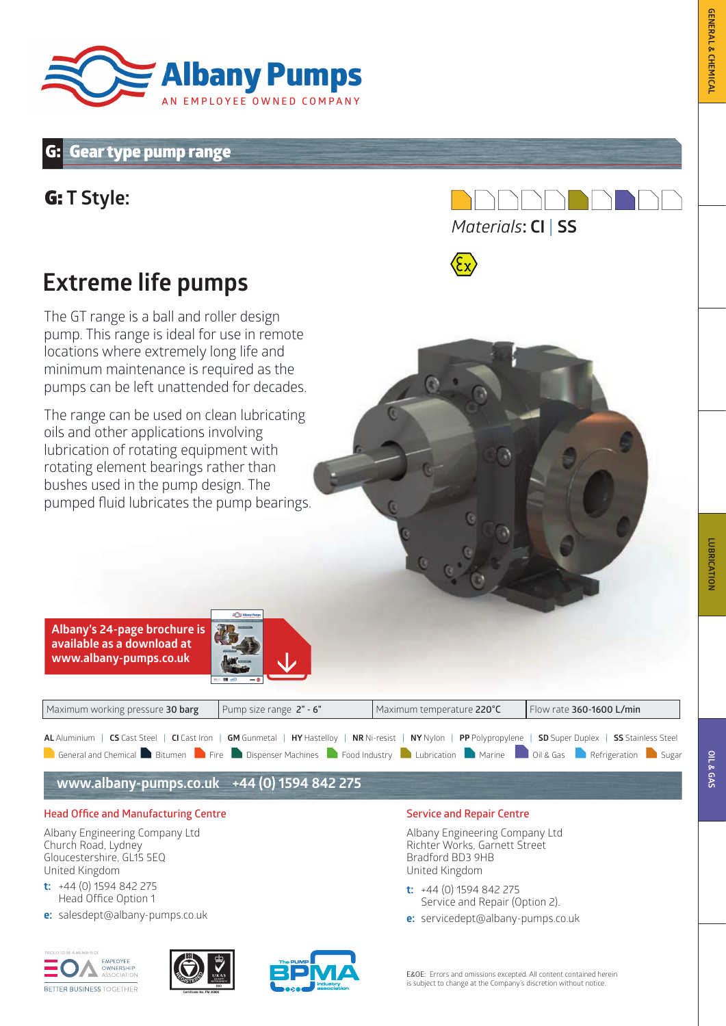

## **Gear type pump range**

# G: **T Style:**





The GT range is a ball and roller design pump. This range is ideal for use in remote locations where extremely long life and minimum maintenance is required as the pumps can be left unattended for decades.

The range can be used on clean lubricating oils and other applications involving lubrication of rotating equipment with rotating element bearings rather than bushes used in the pump design. The pumped fluid lubricates the pump bearings.



| Maximum working pressure 30 barg                                                                                                                             | Pump size range $2" - 6"$ | Maximum temperature 220°C | Flow rate 360-1600 L/min |  |  |  |  |  |  |  |  |
|--------------------------------------------------------------------------------------------------------------------------------------------------------------|---------------------------|---------------------------|--------------------------|--|--|--|--|--|--|--|--|
| AL Aluminium   CS Cast Steel   CI Cast Iron   GM Gunmetal   HY Hastelloy   NR Ni-resist   NY Nylon   PP Polypropylene   SD Super Duplex   SS Stainless Steel |                           |                           |                          |  |  |  |  |  |  |  |  |
| <b>Contract and Chemical Change of Bitumen Design Fire</b> Dispenser Machines <b>C</b> Food Industry Lubrication Marine and Change and Chemical Design Sugar |                           |                           |                          |  |  |  |  |  |  |  |  |

**www.albany-pumps.co.uk +44 (0) 1594 842 275**

#### **Head Office and Manufacturing Centre**

Albany Engineering Company Ltd Church Road, Lydney Gloucestershire, GL15 5EQ United Kingdom

- **t:** +44 (0) 1594 842 275 Head Office Option 1
- **e:** salesdept@albany-pumps.co.uk







#### **Service and Repair Centre**

Albany Engineering Company Ltd Richter Works, Garnett Street Bradford BD3 9HB United Kingdom

- **t:** +44 (0) 1594 842 275 Service and Repair (Option 2).
- **e:** servicedept@albany-pumps.co.uk

E&OE: Errors and omissions excepted. All content contained herein is subject to change at the Company's discretion without notice.

**LUBRICATION**

**LUBRICATION**